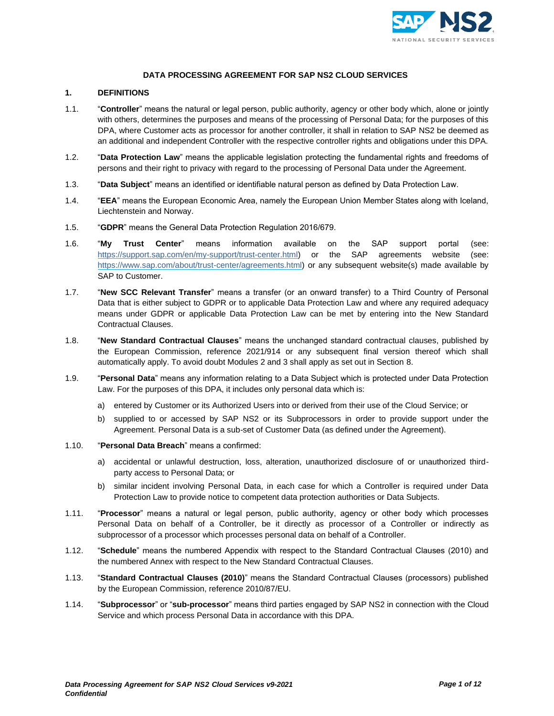

# **DATA PROCESSING AGREEMENT FOR SAP NS2 CLOUD SERVICES**

### **1. DEFINITIONS**

- 1.1. "**Controller**" means the natural or legal person, public authority, agency or other body which, alone or jointly with others, determines the purposes and means of the processing of Personal Data; for the purposes of this DPA, where Customer acts as processor for another controller, it shall in relation to SAP NS2 be deemed as an additional and independent Controller with the respective controller rights and obligations under this DPA.
- 1.2. "**Data Protection Law**" means the applicable legislation protecting the fundamental rights and freedoms of persons and their right to privacy with regard to the processing of Personal Data under the Agreement.
- 1.3. "**Data Subject**" means an identified or identifiable natural person as defined by Data Protection Law.
- 1.4. "**EEA**" means the European Economic Area, namely the European Union Member States along with Iceland, Liechtenstein and Norway.
- 1.5. "**GDPR**" means the General Data Protection Regulation 2016/679.
- 1.6. "**My Trust Center**" means information available on the SAP support portal (see: [https://support.sap.com/en/my-support/trust-center.html\)](https://support.sap.com/en/my-support/trust-center.html) or the SAP agreements website (see: [https://www.sap.com/about/trust-center/agreements.html\)](https://www.sap.com/about/trust-center/agreements.html) or any subsequent website(s) made available by SAP to Customer.
- 1.7. "**New SCC Relevant Transfer**" means a transfer (or an onward transfer) to a Third Country of Personal Data that is either subject to GDPR or to applicable Data Protection Law and where any required adequacy means under GDPR or applicable Data Protection Law can be met by entering into the New Standard Contractual Clauses.
- 1.8. "**New Standard Contractual Clauses**" means the unchanged standard contractual clauses, published by the European Commission, reference 2021/914 or any subsequent final version thereof which shall automatically apply. To avoid doubt Modules 2 and 3 shall apply as set out in Section [8.](#page-4-0)
- 1.9. "**Personal Data**" means any information relating to a Data Subject which is protected under Data Protection Law. For the purposes of this DPA, it includes only personal data which is:
	- a) entered by Customer or its Authorized Users into or derived from their use of the Cloud Service; or
	- b) supplied to or accessed by SAP NS2 or its Subprocessors in order to provide support under the Agreement. Personal Data is a sub-set of Customer Data (as defined under the Agreement).
- 1.10. "**Personal Data Breach**" means a confirmed:
	- a) accidental or unlawful destruction, loss, alteration, unauthorized disclosure of or unauthorized thirdparty access to Personal Data; or
	- b) similar incident involving Personal Data, in each case for which a Controller is required under Data Protection Law to provide notice to competent data protection authorities or Data Subjects.
- 1.11. "**Processor**" means a natural or legal person, public authority, agency or other body which processes Personal Data on behalf of a Controller, be it directly as processor of a Controller or indirectly as subprocessor of a processor which processes personal data on behalf of a Controller.
- 1.12. "**Schedule**" means the numbered Appendix with respect to the Standard Contractual Clauses (2010) and the numbered Annex with respect to the New Standard Contractual Clauses.
- 1.13. "**Standard Contractual Clauses (2010)**" means the Standard Contractual Clauses (processors) published by the European Commission, reference 2010/87/EU.
- 1.14. "**Subprocessor**" or "**sub-processor**" means third parties engaged by SAP NS2 in connection with the Cloud Service and which process Personal Data in accordance with this DPA.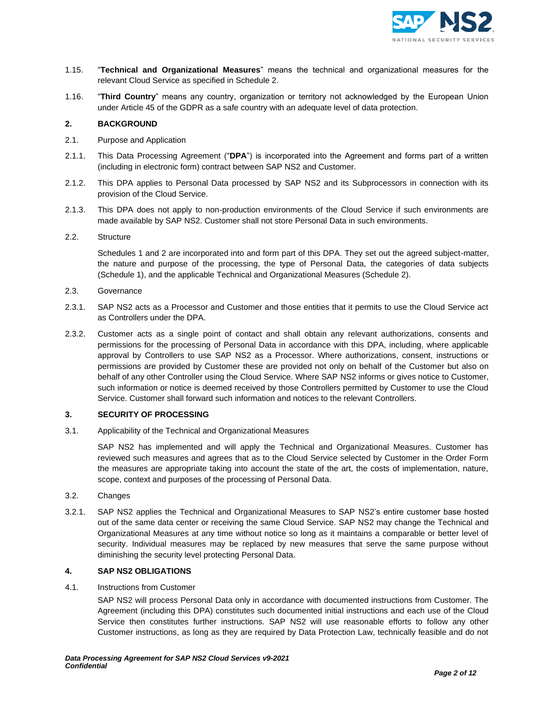

- 1.15. "**Technical and Organizational Measures**" means the technical and organizational measures for the relevant Cloud Service as specified in Schedule 2.
- 1.16. "**Third Country**" means any country, organization or territory not acknowledged by the European Union under Article 45 of the GDPR as a safe country with an adequate level of data protection.

## **2. BACKGROUND**

- 2.1. Purpose and Application
- 2.1.1. This Data Processing Agreement ("**DPA**") is incorporated into the Agreement and forms part of a written (including in electronic form) contract between SAP NS2 and Customer.
- 2.1.2. This DPA applies to Personal Data processed by SAP NS2 and its Subprocessors in connection with its provision of the Cloud Service.
- 2.1.3. This DPA does not apply to non-production environments of the Cloud Service if such environments are made available by SAP NS2. Customer shall not store Personal Data in such environments.
- 2.2. Structure

Schedules 1 and 2 are incorporated into and form part of this DPA. They set out the agreed subject-matter, the nature and purpose of the processing, the type of Personal Data, the categories of data subjects (Schedule 1), and the applicable Technical and Organizational Measures (Schedule 2).

- 2.3. Governance
- 2.3.1. SAP NS2 acts as a Processor and Customer and those entities that it permits to use the Cloud Service act as Controllers under the DPA.
- 2.3.2. Customer acts as a single point of contact and shall obtain any relevant authorizations, consents and permissions for the processing of Personal Data in accordance with this DPA, including, where applicable approval by Controllers to use SAP NS2 as a Processor. Where authorizations, consent, instructions or permissions are provided by Customer these are provided not only on behalf of the Customer but also on behalf of any other Controller using the Cloud Service. Where SAP NS2 informs or gives notice to Customer, such information or notice is deemed received by those Controllers permitted by Customer to use the Cloud Service. Customer shall forward such information and notices to the relevant Controllers.

### **3. SECURITY OF PROCESSING**

3.1. Applicability of the Technical and Organizational Measures

SAP NS2 has implemented and will apply the Technical and Organizational Measures. Customer has reviewed such measures and agrees that as to the Cloud Service selected by Customer in the Order Form the measures are appropriate taking into account the state of the art, the costs of implementation, nature, scope, context and purposes of the processing of Personal Data.

- 3.2. Changes
- 3.2.1. SAP NS2 applies the Technical and Organizational Measures to SAP NS2's entire customer base hosted out of the same data center or receiving the same Cloud Service. SAP NS2 may change the Technical and Organizational Measures at any time without notice so long as it maintains a comparable or better level of security. Individual measures may be replaced by new measures that serve the same purpose without diminishing the security level protecting Personal Data.

## **4. SAP NS2 OBLIGATIONS**

4.1. Instructions from Customer

SAP NS2 will process Personal Data only in accordance with documented instructions from Customer. The Agreement (including this DPA) constitutes such documented initial instructions and each use of the Cloud Service then constitutes further instructions. SAP NS2 will use reasonable efforts to follow any other Customer instructions, as long as they are required by Data Protection Law, technically feasible and do not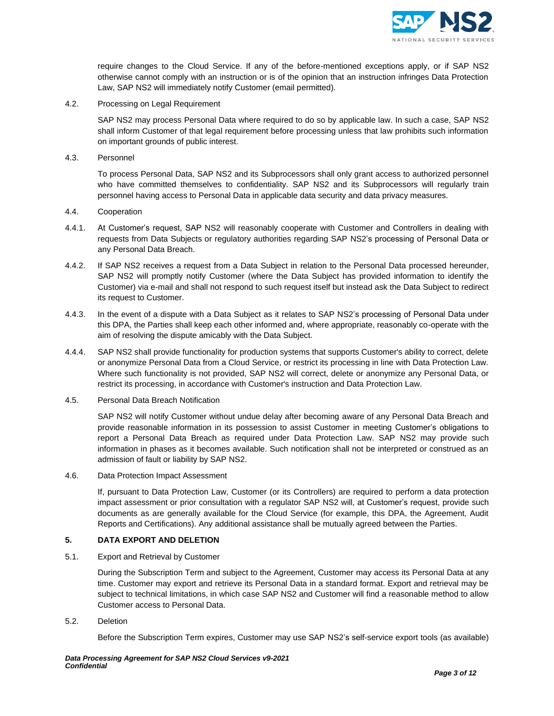

require changes to the Cloud Service. If any of the before-mentioned exceptions apply, or if SAP NS2 otherwise cannot comply with an instruction or is of the opinion that an instruction infringes Data Protection Law, SAP NS2 will immediately notify Customer (email permitted).

4.2. Processing on Legal Requirement

SAP NS2 may process Personal Data where required to do so by applicable law. In such a case, SAP NS2 shall inform Customer of that legal requirement before processing unless that law prohibits such information on important grounds of public interest.

4.3. Personnel

To process Personal Data, SAP NS2 and its Subprocessors shall only grant access to authorized personnel who have committed themselves to confidentiality. SAP NS2 and its Subprocessors will regularly train personnel having access to Personal Data in applicable data security and data privacy measures.

- 4.4. Cooperation
- 4.4.1. At Customer's request, SAP NS2 will reasonably cooperate with Customer and Controllers in dealing with requests from Data Subjects or regulatory authorities regarding SAP NS2's processing of Personal Data or any Personal Data Breach.
- 4.4.2. If SAP NS2 receives a request from a Data Subject in relation to the Personal Data processed hereunder, SAP NS2 will promptly notify Customer (where the Data Subject has provided information to identify the Customer) via e-mail and shall not respond to such request itself but instead ask the Data Subject to redirect its request to Customer.
- 4.4.3. In the event of a dispute with a Data Subject as it relates to SAP NS2's processing of Personal Data under this DPA, the Parties shall keep each other informed and, where appropriate, reasonably co-operate with the aim of resolving the dispute amicably with the Data Subject.
- 4.4.4. SAP NS2 shall provide functionality for production systems that supports Customer's ability to correct, delete or anonymize Personal Data from a Cloud Service, or restrict its processing in line with Data Protection Law. Where such functionality is not provided, SAP NS2 will correct, delete or anonymize any Personal Data, or restrict its processing, in accordance with Customer's instruction and Data Protection Law.
- 4.5. Personal Data Breach Notification

SAP NS2 will notify Customer without undue delay after becoming aware of any Personal Data Breach and provide reasonable information in its possession to assist Customer in meeting Customer's obligations to report a Personal Data Breach as required under Data Protection Law. SAP NS2 may provide such information in phases as it becomes available. Such notification shall not be interpreted or construed as an admission of fault or liability by SAP NS2.

4.6. Data Protection Impact Assessment

If, pursuant to Data Protection Law, Customer (or its Controllers) are required to perform a data protection impact assessment or prior consultation with a regulator SAP NS2 will, at Customer's request, provide such documents as are generally available for the Cloud Service (for example, this DPA, the Agreement, Audit Reports and Certifications). Any additional assistance shall be mutually agreed between the Parties.

# **5. DATA EXPORT AND DELETION**

5.1. Export and Retrieval by Customer

During the Subscription Term and subject to the Agreement, Customer may access its Personal Data at any time. Customer may export and retrieve its Personal Data in a standard format. Export and retrieval may be subject to technical limitations, in which case SAP NS2 and Customer will find a reasonable method to allow Customer access to Personal Data.

<span id="page-2-0"></span>5.2. Deletion

Before the Subscription Term expires, Customer may use SAP NS2's self-service export tools (as available)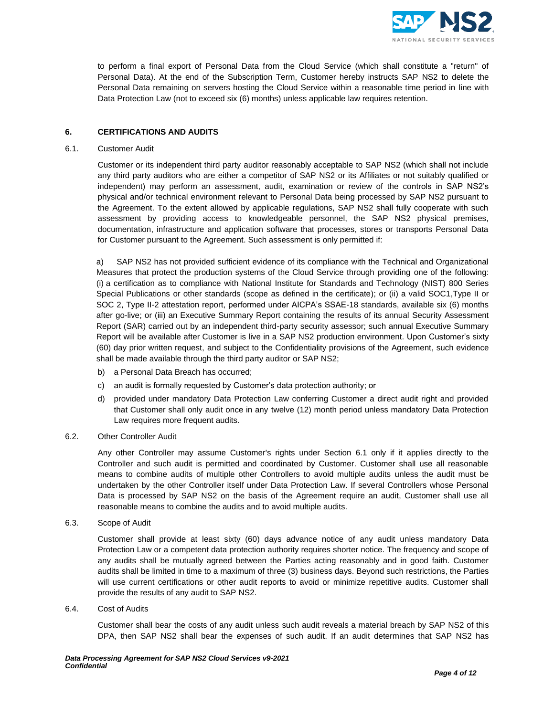

to perform a final export of Personal Data from the Cloud Service (which shall constitute a "return" of Personal Data). At the end of the Subscription Term, Customer hereby instructs SAP NS2 to delete the Personal Data remaining on servers hosting the Cloud Service within a reasonable time period in line with Data Protection Law (not to exceed six (6) months) unless applicable law requires retention.

# **6. CERTIFICATIONS AND AUDITS**

# <span id="page-3-0"></span>6.1. Customer Audit

Customer or its independent third party auditor reasonably acceptable to SAP NS2 (which shall not include any third party auditors who are either a competitor of SAP NS2 or its Affiliates or not suitably qualified or independent) may perform an assessment, audit, examination or review of the controls in SAP NS2's physical and/or technical environment relevant to Personal Data being processed by SAP NS2 pursuant to the Agreement. To the extent allowed by applicable regulations, SAP NS2 shall fully cooperate with such assessment by providing access to knowledgeable personnel, the SAP NS2 physical premises, documentation, infrastructure and application software that processes, stores or transports Personal Data for Customer pursuant to the Agreement. Such assessment is only permitted if:

a) SAP NS2 has not provided sufficient evidence of its compliance with the Technical and Organizational Measures that protect the production systems of the Cloud Service through providing one of the following: (i) a certification as to compliance with National Institute for Standards and Technology (NIST) 800 Series Special Publications or other standards (scope as defined in the certificate); or (ii) a valid SOC1,Type II or SOC 2, Type II-2 attestation report, performed under AICPA's SSAE-18 standards, available six (6) months after go-live; or (iii) an Executive Summary Report containing the results of its annual Security Assessment Report (SAR) carried out by an independent third-party security assessor; such annual Executive Summary Report will be available after Customer is live in a SAP NS2 production environment. Upon Customer's sixty (60) day prior written request, and subject to the Confidentiality provisions of the Agreement, such evidence shall be made available through the third party auditor or SAP NS2;

- b) a Personal Data Breach has occurred;
- c) an audit is formally requested by Customer's data protection authority; or
- d) provided under mandatory Data Protection Law conferring Customer a direct audit right and provided that Customer shall only audit once in any twelve (12) month period unless mandatory Data Protection Law requires more frequent audits.

### 6.2. Other Controller Audit

Any other Controller may assume Customer's rights under Section [6.1 o](#page-3-0)nly if it applies directly to the Controller and such audit is permitted and coordinated by Customer. Customer shall use all reasonable means to combine audits of multiple other Controllers to avoid multiple audits unless the audit must be undertaken by the other Controller itself under Data Protection Law. If several Controllers whose Personal Data is processed by SAP NS2 on the basis of the Agreement require an audit, Customer shall use all reasonable means to combine the audits and to avoid multiple audits.

6.3. Scope of Audit

Customer shall provide at least sixty (60) days advance notice of any audit unless mandatory Data Protection Law or a competent data protection authority requires shorter notice. The frequency and scope of any audits shall be mutually agreed between the Parties acting reasonably and in good faith. Customer audits shall be limited in time to a maximum of three (3) business days. Beyond such restrictions, the Parties will use current certifications or other audit reports to avoid or minimize repetitive audits. Customer shall provide the results of any audit to SAP NS2.

6.4. Cost of Audits

Customer shall bear the costs of any audit unless such audit reveals a material breach by SAP NS2 of this DPA, then SAP NS2 shall bear the expenses of such audit. If an audit determines that SAP NS2 has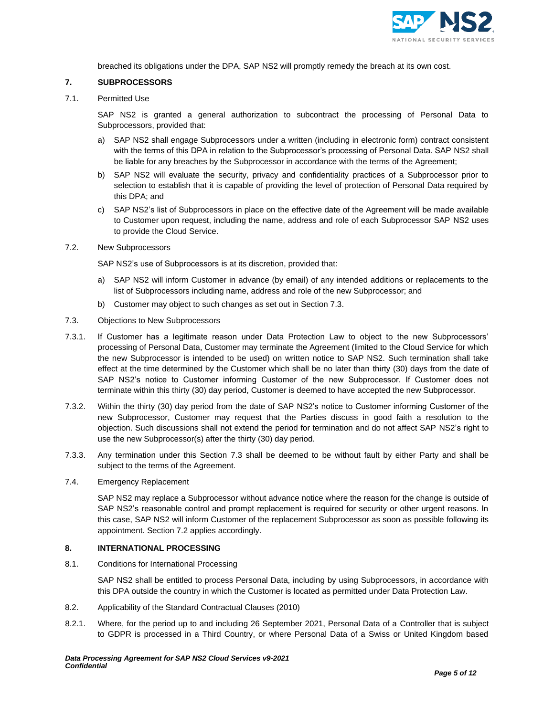

breached its obligations under the DPA, SAP NS2 will promptly remedy the breach at its own cost.

## **7. SUBPROCESSORS**

7.1. Permitted Use

SAP NS2 is granted a general authorization to subcontract the processing of Personal Data to Subprocessors, provided that:

- a) SAP NS2 shall engage Subprocessors under a written (including in electronic form) contract consistent with the terms of this DPA in relation to the Subprocessor's processing of Personal Data. SAP NS2 shall be liable for any breaches by the Subprocessor in accordance with the terms of the Agreement;
- b) SAP NS2 will evaluate the security, privacy and confidentiality practices of a Subprocessor prior to selection to establish that it is capable of providing the level of protection of Personal Data required by this DPA; and
- c) SAP NS2's list of Subprocessors in place on the effective date of the Agreement will be made available to Customer upon request, including the name, address and role of each Subprocessor SAP NS2 uses to provide the Cloud Service.
- <span id="page-4-2"></span>7.2. New Subprocessors

SAP NS2's use of Subprocessors is at its discretion, provided that:

- a) SAP NS2 will inform Customer in advance (by email) of any intended additions or replacements to the list of Subprocessors including name, address and role of the new Subprocessor; and
- b) Customer may object to such changes as set out in Section [7.3.](#page-4-1)
- <span id="page-4-1"></span>7.3. Objections to New Subprocessors
- 7.3.1. If Customer has a legitimate reason under Data Protection Law to object to the new Subprocessors' processing of Personal Data, Customer may terminate the Agreement (limited to the Cloud Service for which the new Subprocessor is intended to be used) on written notice to SAP NS2. Such termination shall take effect at the time determined by the Customer which shall be no later than thirty (30) days from the date of SAP NS2's notice to Customer informing Customer of the new Subprocessor. If Customer does not terminate within this thirty (30) day period, Customer is deemed to have accepted the new Subprocessor.
- 7.3.2. Within the thirty (30) day period from the date of SAP NS2's notice to Customer informing Customer of the new Subprocessor, Customer may request that the Parties discuss in good faith a resolution to the objection. Such discussions shall not extend the period for termination and do not affect SAP NS2's right to use the new Subprocessor(s) after the thirty (30) day period.
- 7.3.3. Any termination under this Section [7.3 s](#page-4-1)hall be deemed to be without fault by either Party and shall be subject to the terms of the Agreement.
- 7.4. Emergency Replacement

SAP NS2 may replace a Subprocessor without advance notice where the reason for the change is outside of SAP NS2's reasonable control and prompt replacement is required for security or other urgent reasons. In this case, SAP NS2 will inform Customer of the replacement Subprocessor as soon as possible following its appointment. Section [7.2 a](#page-4-2)pplies accordingly.

## <span id="page-4-0"></span>**8. INTERNATIONAL PROCESSING**

8.1. Conditions for International Processing

<span id="page-4-3"></span>SAP NS2 shall be entitled to process Personal Data, including by using Subprocessors, in accordance with this DPA outside the country in which the Customer is located as permitted under Data Protection Law.

- 8.2. Applicability of the Standard Contractual Clauses (2010)
- 8.2.1. Where, for the period up to and including 26 September 2021, Personal Data of a Controller that is subject to GDPR is processed in a Third Country, or where Personal Data of a Swiss or United Kingdom based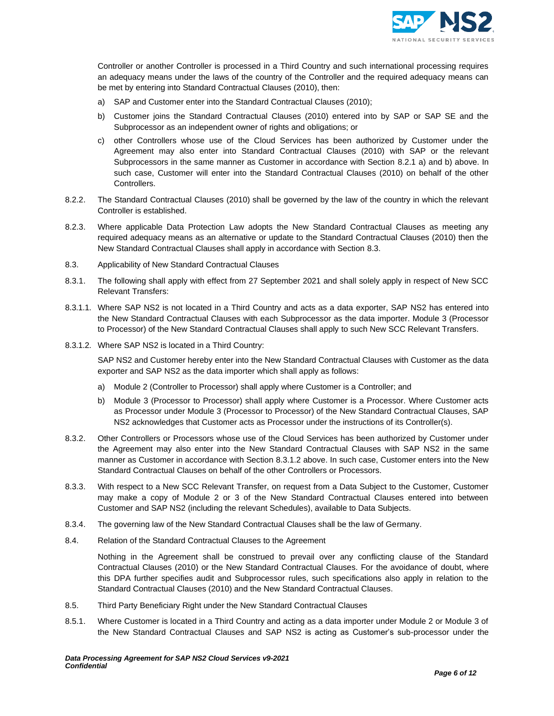<span id="page-5-1"></span>

Controller or another Controller is processed in a Third Country and such international processing requires an adequacy means under the laws of the country of the Controller and the required adequacy means can be met by entering into Standard Contractual Clauses (2010), then:

- <span id="page-5-0"></span>a) SAP and Customer enter into the Standard Contractual Clauses (2010);
- b) Customer joins the Standard Contractual Clauses (2010) entered into by SAP or SAP SE and the Subprocessor as an independent owner of rights and obligations; or
- c) other Controllers whose use of the Cloud Services has been authorized by Customer under the Agreement may also enter into Standard Contractual Clauses (2010) with SAP or the relevant Subprocessors in the same manner as Customer in accordance with Section [8.2.1](#page-4-3) [a\) a](#page-5-0)nd [b\) a](#page-5-1)bove. In such case, Customer will enter into the Standard Contractual Clauses (2010) on behalf of the other Controllers.
- 8.2.2. The Standard Contractual Clauses (2010) shall be governed by the law of the country in which the relevant Controller is established.
- 8.2.3. Where applicable Data Protection Law adopts the New Standard Contractual Clauses as meeting any required adequacy means as an alternative or update to the Standard Contractual Clauses (2010) then the New Standard Contractual Clauses shall apply in accordance with Sectio[n 8.3.](#page-5-2)
- <span id="page-5-2"></span>8.3. Applicability of New Standard Contractual Clauses
- 8.3.1. The following shall apply with effect from 27 September 2021 and shall solely apply in respect of New SCC Relevant Transfers:
- 8.3.1.1. Where SAP NS2 is not located in a Third Country and acts as a data exporter, SAP NS2 has entered into the New Standard Contractual Clauses with each Subprocessor as the data importer. Module 3 (Processor to Processor) of the New Standard Contractual Clauses shall apply to such New SCC Relevant Transfers.
- <span id="page-5-3"></span>8.3.1.2. Where SAP NS2 is located in a Third Country:

SAP NS2 and Customer hereby enter into the New Standard Contractual Clauses with Customer as the data exporter and SAP NS2 as the data importer which shall apply as follows:

- a) Module 2 (Controller to Processor) shall apply where Customer is a Controller; and
- b) Module 3 (Processor to Processor) shall apply where Customer is a Processor. Where Customer acts as Processor under Module 3 (Processor to Processor) of the New Standard Contractual Clauses, SAP NS2 acknowledges that Customer acts as Processor under the instructions of its Controller(s).
- 8.3.2. Other Controllers or Processors whose use of the Cloud Services has been authorized by Customer under the Agreement may also enter into the New Standard Contractual Clauses with SAP NS2 in the same manner as Customer in accordance with Section [8.3.1.2 a](#page-5-3)bove. In such case, Customer enters into the New Standard Contractual Clauses on behalf of the other Controllers or Processors.
- 8.3.3. With respect to a New SCC Relevant Transfer, on request from a Data Subject to the Customer, Customer may make a copy of Module 2 or 3 of the New Standard Contractual Clauses entered into between Customer and SAP NS2 (including the relevant Schedules), available to Data Subjects.
- 8.3.4. The governing law of the New Standard Contractual Clauses shall be the law of Germany.
- 8.4. Relation of the Standard Contractual Clauses to the Agreement

Nothing in the Agreement shall be construed to prevail over any conflicting clause of the Standard Contractual Clauses (2010) or the New Standard Contractual Clauses. For the avoidance of doubt, where this DPA further specifies audit and Subprocessor rules, such specifications also apply in relation to the Standard Contractual Clauses (2010) and the New Standard Contractual Clauses.

- 8.5. Third Party Beneficiary Right under the New Standard Contractual Clauses
- 8.5.1. Where Customer is located in a Third Country and acting as a data importer under Module 2 or Module 3 of the New Standard Contractual Clauses and SAP NS2 is acting as Customer's sub-processor under the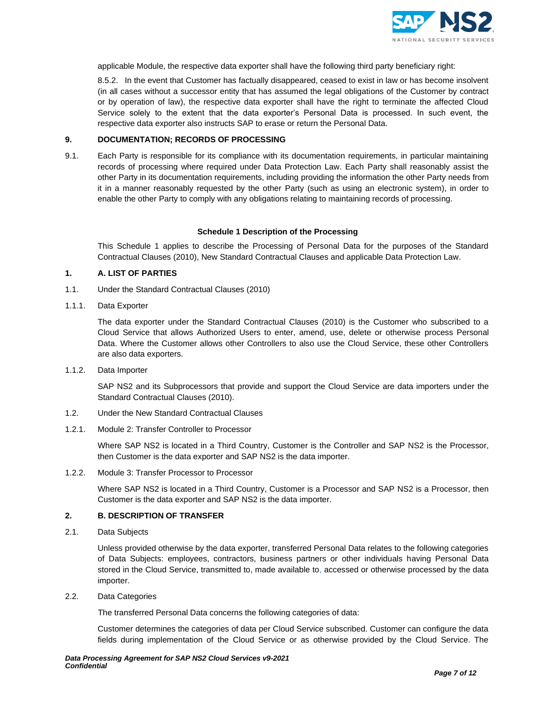

applicable Module, the respective data exporter shall have the following third party beneficiary right:

8.5.2. In the event that Customer has factually disappeared, ceased to exist in law or has become insolvent (in all cases without a successor entity that has assumed the legal obligations of the Customer by contract or by operation of law), the respective data exporter shall have the right to terminate the affected Cloud Service solely to the extent that the data exporter's Personal Data is processed. In such event, the respective data exporter also instructs SAP to erase or return the Personal Data.

## **9. DOCUMENTATION; RECORDS OF PROCESSING**

9.1. Each Party is responsible for its compliance with its documentation requirements, in particular maintaining records of processing where required under Data Protection Law. Each Party shall reasonably assist the other Party in its documentation requirements, including providing the information the other Party needs from it in a manner reasonably requested by the other Party (such as using an electronic system), in order to enable the other Party to comply with any obligations relating to maintaining records of processing.

### **Schedule 1 Description of the Processing**

This Schedule 1 applies to describe the Processing of Personal Data for the purposes of the Standard Contractual Clauses (2010), New Standard Contractual Clauses and applicable Data Protection Law.

# **1. A. LIST OF PARTIES**

- 1.1. Under the Standard Contractual Clauses (2010)
- 1.1.1. Data Exporter

The data exporter under the Standard Contractual Clauses (2010) is the Customer who subscribed to a Cloud Service that allows Authorized Users to enter, amend, use, delete or otherwise process Personal Data. Where the Customer allows other Controllers to also use the Cloud Service, these other Controllers are also data exporters.

1.1.2. Data Importer

SAP NS2 and its Subprocessors that provide and support the Cloud Service are data importers under the Standard Contractual Clauses (2010).

- 1.2. Under the New Standard Contractual Clauses
- 1.2.1. Module 2: Transfer Controller to Processor

Where SAP NS2 is located in a Third Country, Customer is the Controller and SAP NS2 is the Processor, then Customer is the data exporter and SAP NS2 is the data importer.

1.2.2. Module 3: Transfer Processor to Processor

Where SAP NS2 is located in a Third Country, Customer is a Processor and SAP NS2 is a Processor, then Customer is the data exporter and SAP NS2 is the data importer.

#### **2. B. DESCRIPTION OF TRANSFER**

2.1. Data Subjects

Unless provided otherwise by the data exporter, transferred Personal Data relates to the following categories of Data Subjects: employees, contractors, business partners or other individuals having Personal Data stored in the Cloud Service, transmitted to, made available to, accessed or otherwise processed by the data importer.

2.2. Data Categories

The transferred Personal Data concerns the following categories of data:

Customer determines the categories of data per Cloud Service subscribed. Customer can configure the data fields during implementation of the Cloud Service or as otherwise provided by the Cloud Service. The

*Data Processing Agreement for SAP NS2 Cloud Services v9-2021 Confidential*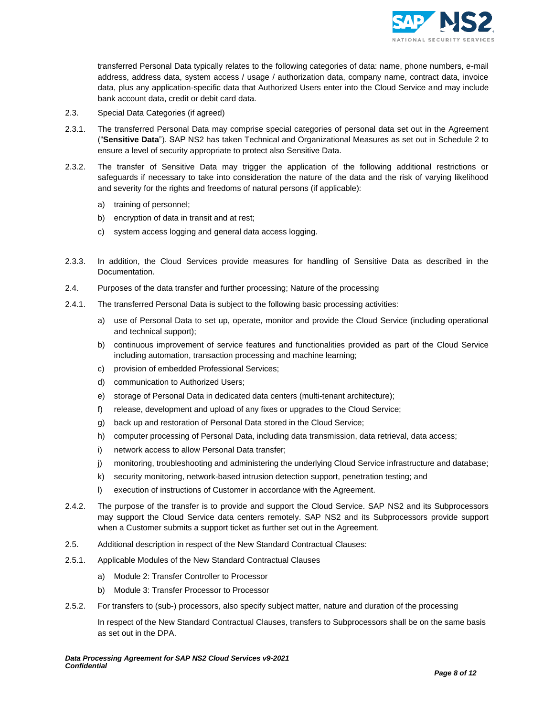

transferred Personal Data typically relates to the following categories of data: name, phone numbers, e-mail address, address data, system access / usage / authorization data, company name, contract data, invoice data, plus any application-specific data that Authorized Users enter into the Cloud Service and may include bank account data, credit or debit card data.

- 2.3. Special Data Categories (if agreed)
- 2.3.1. The transferred Personal Data may comprise special categories of personal data set out in the Agreement ("**Sensitive Data**"). SAP NS2 has taken Technical and Organizational Measures as set out in Schedule 2 to ensure a level of security appropriate to protect also Sensitive Data.
- 2.3.2. The transfer of Sensitive Data may trigger the application of the following additional restrictions or safeguards if necessary to take into consideration the nature of the data and the risk of varying likelihood and severity for the rights and freedoms of natural persons (if applicable):
	- a) training of personnel;
	- b) encryption of data in transit and at rest;
	- c) system access logging and general data access logging.
- 2.3.3. In addition, the Cloud Services provide measures for handling of Sensitive Data as described in the Documentation.
- 2.4. Purposes of the data transfer and further processing; Nature of the processing
- 2.4.1. The transferred Personal Data is subject to the following basic processing activities:
	- a) use of Personal Data to set up, operate, monitor and provide the Cloud Service (including operational and technical support);
	- b) continuous improvement of service features and functionalities provided as part of the Cloud Service including automation, transaction processing and machine learning;
	- c) provision of embedded Professional Services;
	- d) communication to Authorized Users;
	- e) storage of Personal Data in dedicated data centers (multi-tenant architecture);
	- f) release, development and upload of any fixes or upgrades to the Cloud Service;
	- g) back up and restoration of Personal Data stored in the Cloud Service;
	- h) computer processing of Personal Data, including data transmission, data retrieval, data access;
	- i) network access to allow Personal Data transfer;
	- j) monitoring, troubleshooting and administering the underlying Cloud Service infrastructure and database;
	- k) security monitoring, network-based intrusion detection support, penetration testing; and
	- l) execution of instructions of Customer in accordance with the Agreement.
- 2.4.2. The purpose of the transfer is to provide and support the Cloud Service. SAP NS2 and its Subprocessors may support the Cloud Service data centers remotely. SAP NS2 and its Subprocessors provide support when a Customer submits a support ticket as further set out in the Agreement.
- 2.5. Additional description in respect of the New Standard Contractual Clauses:
- 2.5.1. Applicable Modules of the New Standard Contractual Clauses
	- a) Module 2: Transfer Controller to Processor
	- b) Module 3: Transfer Processor to Processor
- 2.5.2. For transfers to (sub-) processors, also specify subject matter, nature and duration of the processing

In respect of the New Standard Contractual Clauses, transfers to Subprocessors shall be on the same basis as set out in the DPA.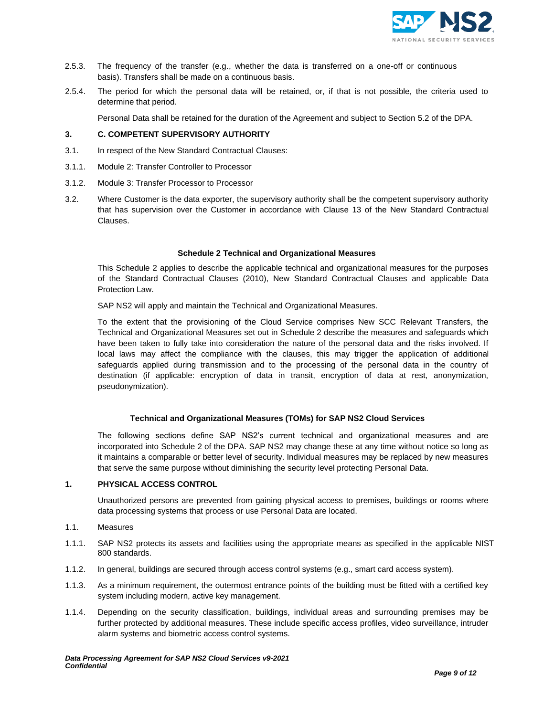

- 2.5.3. The frequency of the transfer (e.g., whether the data is transferred on a one-off or continuous basis). Transfers shall be made on a continuous basis.
- 2.5.4. The period for which the personal data will be retained, or, if that is not possible, the criteria used to determine that period.

Personal Data shall be retained for the duration of the Agreement and subject to Sectio[n 5.2 o](#page-2-0)f the DPA.

## **3. C. COMPETENT SUPERVISORY AUTHORITY**

- 3.1. In respect of the New Standard Contractual Clauses:
- 3.1.1. Module 2: Transfer Controller to Processor
- 3.1.2. Module 3: Transfer Processor to Processor
- 3.2. Where Customer is the data exporter, the supervisory authority shall be the competent supervisory authority that has supervision over the Customer in accordance with Clause 13 of the New Standard Contractual Clauses.

#### **Schedule 2 Technical and Organizational Measures**

This Schedule 2 applies to describe the applicable technical and organizational measures for the purposes of the Standard Contractual Clauses (2010), New Standard Contractual Clauses and applicable Data Protection Law.

SAP NS2 will apply and maintain the Technical and Organizational Measures.

To the extent that the provisioning of the Cloud Service comprises New SCC Relevant Transfers, the Technical and Organizational Measures set out in Schedule 2 describe the measures and safeguards which have been taken to fully take into consideration the nature of the personal data and the risks involved. If local laws may affect the compliance with the clauses, this may trigger the application of additional safeguards applied during transmission and to the processing of the personal data in the country of destination (if applicable: encryption of data in transit, encryption of data at rest, anonymization, pseudonymization).

### **Technical and Organizational Measures (TOMs) for SAP NS2 Cloud Services**

The following sections define SAP NS2's current technical and organizational measures and are incorporated into Schedule 2 of the DPA. SAP NS2 may change these at any time without notice so long as it maintains a comparable or better level of security. Individual measures may be replaced by new measures that serve the same purpose without diminishing the security level protecting Personal Data.

#### **1. PHYSICAL ACCESS CONTROL**

Unauthorized persons are prevented from gaining physical access to premises, buildings or rooms where data processing systems that process or use Personal Data are located.

- 1.1. Measures
- 1.1.1. SAP NS2 protects its assets and facilities using the appropriate means as specified in the applicable NIST 800 standards.
- 1.1.2. In general, buildings are secured through access control systems (e.g., smart card access system).
- 1.1.3. As a minimum requirement, the outermost entrance points of the building must be fitted with a certified key system including modern, active key management.
- 1.1.4. Depending on the security classification, buildings, individual areas and surrounding premises may be further protected by additional measures. These include specific access profiles, video surveillance, intruder alarm systems and biometric access control systems.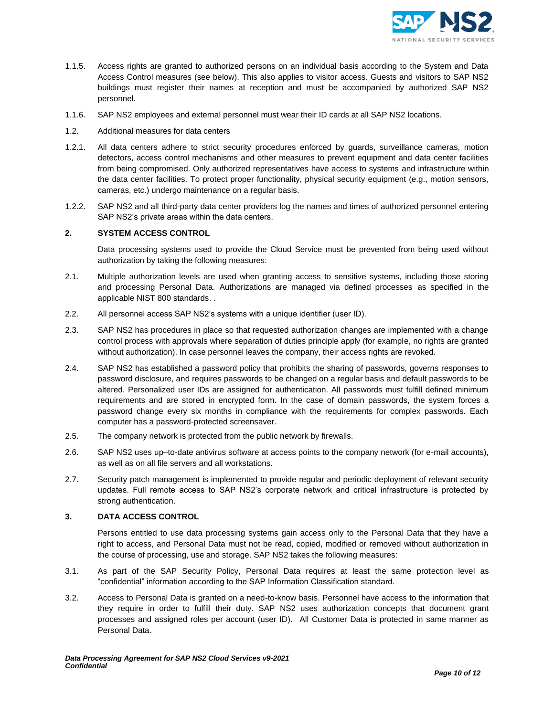

- 1.1.5. Access rights are granted to authorized persons on an individual basis according to the System and Data Access Control measures (see below). This also applies to visitor access. Guests and visitors to SAP NS2 buildings must register their names at reception and must be accompanied by authorized SAP NS2 personnel.
- 1.1.6. SAP NS2 employees and external personnel must wear their ID cards at all SAP NS2 locations.
- 1.2. Additional measures for data centers
- 1.2.1. All data centers adhere to strict security procedures enforced by guards, surveillance cameras, motion detectors, access control mechanisms and other measures to prevent equipment and data center facilities from being compromised. Only authorized representatives have access to systems and infrastructure within the data center facilities. To protect proper functionality, physical security equipment (e.g., motion sensors, cameras, etc.) undergo maintenance on a regular basis.
- 1.2.2. SAP NS2 and all third-party data center providers log the names and times of authorized personnel entering SAP NS2's private areas within the data centers.

## **2. SYSTEM ACCESS CONTROL**

Data processing systems used to provide the Cloud Service must be prevented from being used without authorization by taking the following measures:

- 2.1. Multiple authorization levels are used when granting access to sensitive systems, including those storing and processing Personal Data. Authorizations are managed via defined processes as specified in the applicable NIST 800 standards. .
- 2.2. All personnel access SAP NS2's systems with a unique identifier (user ID).
- 2.3. SAP NS2 has procedures in place so that requested authorization changes are implemented with a change control process with approvals where separation of duties principle apply (for example, no rights are granted without authorization). In case personnel leaves the company, their access rights are revoked.
- 2.4. SAP NS2 has established a password policy that prohibits the sharing of passwords, governs responses to password disclosure, and requires passwords to be changed on a regular basis and default passwords to be altered. Personalized user IDs are assigned for authentication. All passwords must fulfill defined minimum requirements and are stored in encrypted form. In the case of domain passwords, the system forces a password change every six months in compliance with the requirements for complex passwords. Each computer has a password-protected screensaver.
- 2.5. The company network is protected from the public network by firewalls.
- 2.6. SAP NS2 uses up–to-date antivirus software at access points to the company network (for e-mail accounts), as well as on all file servers and all workstations.
- 2.7. Security patch management is implemented to provide regular and periodic deployment of relevant security updates. Full remote access to SAP NS2's corporate network and critical infrastructure is protected by strong authentication.

## **3. DATA ACCESS CONTROL**

Persons entitled to use data processing systems gain access only to the Personal Data that they have a right to access, and Personal Data must not be read, copied, modified or removed without authorization in the course of processing, use and storage. SAP NS2 takes the following measures:

- 3.1. As part of the SAP Security Policy, Personal Data requires at least the same protection level as "confidential" information according to the SAP Information Classification standard.
- 3.2. Access to Personal Data is granted on a need-to-know basis. Personnel have access to the information that they require in order to fulfill their duty. SAP NS2 uses authorization concepts that document grant processes and assigned roles per account (user ID). All Customer Data is protected in same manner as Personal Data.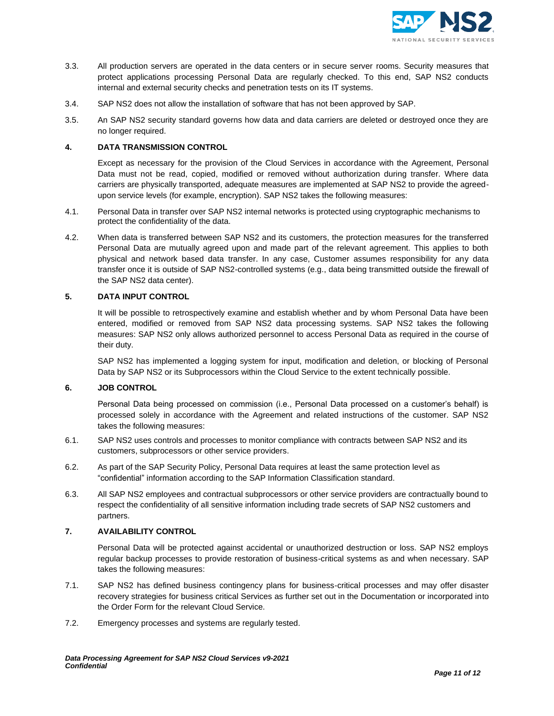

- 3.3. All production servers are operated in the data centers or in secure server rooms. Security measures that protect applications processing Personal Data are regularly checked. To this end, SAP NS2 conducts internal and external security checks and penetration tests on its IT systems.
- 3.4. SAP NS2 does not allow the installation of software that has not been approved by SAP.
- 3.5. An SAP NS2 security standard governs how data and data carriers are deleted or destroyed once they are no longer required.

# **4. DATA TRANSMISSION CONTROL**

Except as necessary for the provision of the Cloud Services in accordance with the Agreement, Personal Data must not be read, copied, modified or removed without authorization during transfer. Where data carriers are physically transported, adequate measures are implemented at SAP NS2 to provide the agreedupon service levels (for example, encryption). SAP NS2 takes the following measures:

- 4.1. Personal Data in transfer over SAP NS2 internal networks is protected using cryptographic mechanisms to protect the confidentiality of the data.
- 4.2. When data is transferred between SAP NS2 and its customers, the protection measures for the transferred Personal Data are mutually agreed upon and made part of the relevant agreement. This applies to both physical and network based data transfer. In any case, Customer assumes responsibility for any data transfer once it is outside of SAP NS2-controlled systems (e.g., data being transmitted outside the firewall of the SAP NS2 data center).

# **5. DATA INPUT CONTROL**

It will be possible to retrospectively examine and establish whether and by whom Personal Data have been entered, modified or removed from SAP NS2 data processing systems. SAP NS2 takes the following measures: SAP NS2 only allows authorized personnel to access Personal Data as required in the course of their duty.

SAP NS2 has implemented a logging system for input, modification and deletion, or blocking of Personal Data by SAP NS2 or its Subprocessors within the Cloud Service to the extent technically possible.

# **6. JOB CONTROL**

Personal Data being processed on commission (i.e., Personal Data processed on a customer's behalf) is processed solely in accordance with the Agreement and related instructions of the customer. SAP NS2 takes the following measures:

- 6.1. SAP NS2 uses controls and processes to monitor compliance with contracts between SAP NS2 and its customers, subprocessors or other service providers.
- 6.2. As part of the SAP Security Policy, Personal Data requires at least the same protection level as "confidential" information according to the SAP Information Classification standard.
- 6.3. All SAP NS2 employees and contractual subprocessors or other service providers are contractually bound to respect the confidentiality of all sensitive information including trade secrets of SAP NS2 customers and partners.

### **7. AVAILABILITY CONTROL**

Personal Data will be protected against accidental or unauthorized destruction or loss. SAP NS2 employs regular backup processes to provide restoration of business-critical systems as and when necessary. SAP takes the following measures:

- 7.1. SAP NS2 has defined business contingency plans for business-critical processes and may offer disaster recovery strategies for business critical Services as further set out in the Documentation or incorporated into the Order Form for the relevant Cloud Service.
- 7.2. Emergency processes and systems are regularly tested.